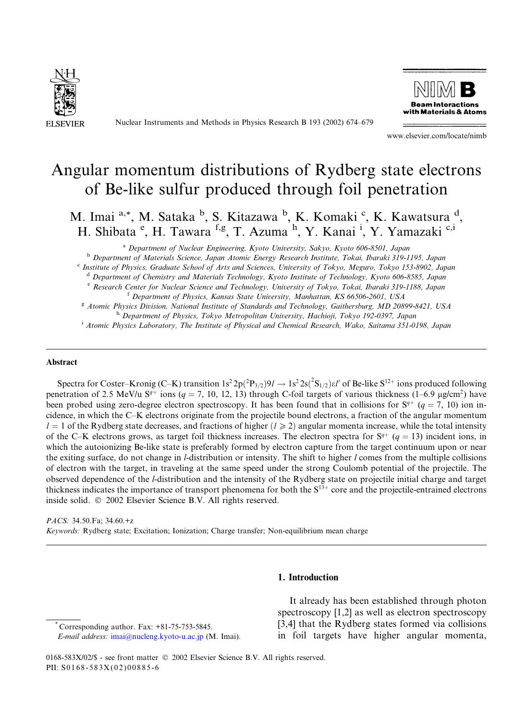

Nuclear Instruments and Methods in Physics Research B 193 (2002) 674–679



www.elsevier.com/locate/nimb

# Angular momentum distributions of Rydberg state electrons of Be-like sulfur produced through foil penetration

M. Imai <sup>a,\*</sup>, M. Sataka <sup>b</sup>, S. Kitazawa <sup>b</sup>, K. Komaki <sup>c</sup>, K. Kawatsura <sup>d</sup>, H. Shibata <sup>e</sup>, H. Tawara <sup>f,g</sup>, T. Azuma <sup>h</sup>, Y. Kanai <sup>i</sup>, Y. Yamazaki <sup>c,i</sup>

<sup>a</sup> Department of Nuclear Engineering, Kyoto University, Sakyo, Kyoto 606-8501, Japan

<sup>b</sup> Department of Materials Science, Japan Atomic Energy Research Institute, Tokai, Ibaraki 319-1195, Japan

<sup>c</sup> Institute of Physics, Graduate School of Arts and Sciences, University of Tokyo, Meguro, Tokyo 153-8902, Japan

d Department of Chemistry and Materials Technology, Kyoto Institute of Technology, Kyoto 606-8585, Japan

<sup>e</sup> Research Center for Nuclear Science and Technology, University of Tokyo, Tokai, Ibaraki 319-1188, Japan

<sup>f</sup> Department of Physics, Kansas State University, Manhattan, KS 66506-2601, USA

<sup>g</sup> Atomic Physics Division, National Institute of Standards and Technology, Gaithersburg, MD 20899-8421, USA h Department of Physics, Tokyo Metropolitan University, Hachioji, Tokyo 192-0397, Japan

<sup>i</sup> Atomic Physics Laboratory, The Institute of Physical and Chemical Research, Wako, Saitama 351-0198, Japan

### Abstract

Spectra for Coster–Kronig (C–K) transition  $1s^2 2p(^2P_{3/2})9l \to 1s^2 2s(^2S_{1/2})\varepsilon l'$  of Be-like  $S^{12+}$  ions produced following penetration of 2.5 MeV/u S<sup>q+</sup> ions (q = 7, 10, 12, 13) through C-foil targets of various thickness (1–6.9 µg/cm<sup>2</sup>) have been probed using zero-degree electron spectroscopy. It has been found that in collisions for  $S^{q+}$  ( $q = 7, 10$ ) ion incidence, in which the C–K electrons originate from the projectile bound electrons, a fraction of the angular momentum  $l = 1$  of the Rydberg state decreases, and fractions of higher  $(l \ge 2)$  angular momenta increase, while the total intensity of the C–K electrons grows, as target foil thickness increases. The electron spectra for  $S^{q+}$  (q = 13) incident ions, in which the autoionizing Be-like state is preferably formed by electron capture from the target continuum upon or near the exiting surface, do not change in l-distribution or intensity. The shift to higher l comes from the multiple collisions of electron with the target, in traveling at the same speed under the strong Coulomb potential of the projectile. The observed dependence of the l-distribution and the intensity of the Rydberg state on projectile initial charge and target thickness indicates the importance of transport phenomena for both the  $S<sup>13+</sup>$  core and the projectile-entrained electrons inside solid.  $\oslash$  2002 Elsevier Science B.V. All rights reserved.

PACS: 34.50.Fa; 34.60.+z Keywords: Rydberg state; Excitation; Ionization; Charge transfer; Non-equilibrium mean charge

# 1. Introduction

\* Corresponding author. Fax: +81-75-753-5845. E-mail address: [imai@nucleng.kyoto-u.ac.jp](mail to: imai@nucleng.kyoto-u.ac.jp) (M. Imai).

It already has been established through photon spectroscopy [1,2] as well as electron spectroscopy [3,4] that the Rydberg states formed via collisions in foil targets have higher angular momenta,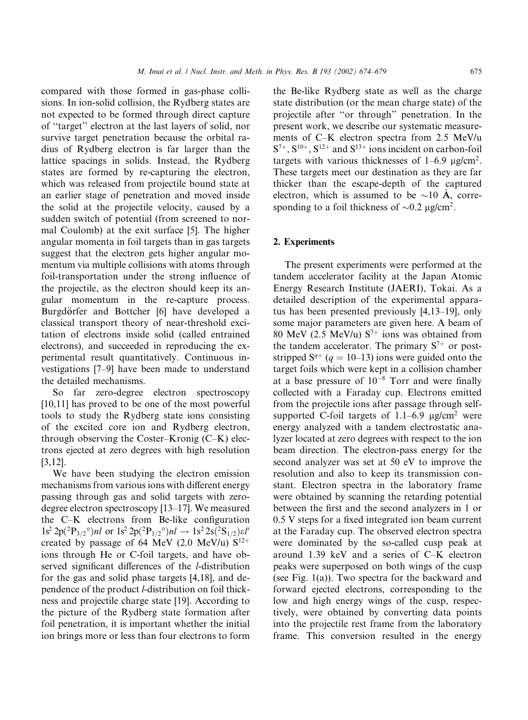compared with those formed in gas-phase collisions. In ion-solid collision, the Rydberg states are not expected to be formed through direct capture of ''target'' electron at the last layers of solid, nor survive target penetration because the orbital radius of Rydberg electron is far larger than the lattice spacings in solids. Instead, the Rydberg states are formed by re-capturing the electron, which was released from projectile bound state at an earlier stage of penetration and moved inside the solid at the projectile velocity, caused by a sudden switch of potential (from screened to normal Coulomb) at the exit surface [5]. The higher angular momenta in foil targets than in gas targets suggest that the electron gets higher angular momentum via multiple collisions with atoms through foil-transportation under the strong influence of the projectile, as the electron should keep its angular momentum in the re-capture process. Burgdörfer and Bottcher [6] have developed a classical transport theory of near-threshold excitation of electrons inside solid (called entrained electrons), and succeeded in reproducing the experimental result quantitatively. Continuous investigations [7–9] have been made to understand the detailed mechanisms.

So far zero-degree electron spectroscopy [10,11] has proved to be one of the most powerful tools to study the Rydberg state ions consisting of the excited core ion and Rydberg electron, through observing the Coster–Kronig (C–K) electrons ejected at zero degrees with high resolution [3,12].

We have been studying the electron emission mechanisms from various ions with different energy passing through gas and solid targets with zerodegree electron spectroscopy [13–17]. We measured the C–K electrons from Be-like configuration  $1s^2 2p({^2P_{3/2}}^\circ)nl$  or  $1s^2 2p({^2P_{1/2}}^\circ)nl \rightarrow 1s^2 2s({^2S_{1/2}})\varepsilon l'$ created by passage of 64 MeV (2.0 MeV/u)  $S^{12+}$ ions through He or C-foil targets, and have observed significant differences of the l-distribution for the gas and solid phase targets [4,18], and dependence of the product l-distribution on foil thickness and projectile charge state [19]. According to the picture of the Rydberg state formation after foil penetration, it is important whether the initial ion brings more or less than four electrons to form the Be-like Rydberg state as well as the charge state distribution (or the mean charge state) of the projectile after ''or through'' penetration. In the present work, we describe our systematic measurements of C–K electron spectra from 2.5 MeV/u  $S^{7+}$ ,  $S^{10+}$ ,  $S^{12+}$  and  $S^{13+}$  ions incident on carbon-foil targets with various thicknesses of  $1-6.9$   $\mu$ g/cm<sup>2</sup>. These targets meet our destination as they are far thicker than the escape-depth of the captured electron, which is assumed to be  $\sim$ 10 Å, corresponding to a foil thickness of  $\sim 0.2 \text{ }\mu\text{g/cm}^2$ .

### 2. Experiments

The present experiments were performed at the tandem accelerator facility at the Japan Atomic Energy Research Institute (JAERI), Tokai. As a detailed description of the experimental apparatus has been presented previously [4,13–19], only some major parameters are given here. A beam of 80 MeV (2.5 MeV/u)  $S^{7+}$  ions was obtained from the tandem accelerator. The primary  $S^{7+}$  or poststripped  $S^{q+}$  (q = 10–13) ions were guided onto the target foils which were kept in a collision chamber at a base pressure of  $10^{-8}$  Torr and were finally collected with a Faraday cup. Electrons emitted from the projectile ions after passage through selfsupported C-foil targets of  $1.1-6.9$   $\mu$ g/cm<sup>2</sup> were energy analyzed with a tandem electrostatic analyzer located at zero degrees with respect to the ion beam direction. The electron-pass energy for the second analyzer was set at 50 eV to improve the resolution and also to keep its transmission constant. Electron spectra in the laboratory frame were obtained by scanning the retarding potential between the first and the second analyzers in 1 or 0.5 V steps for a fixed integrated ion beam current at the Faraday cup. The observed electron spectra were dominated by the so-called cusp peak at around 1.39 keV and a series of C–K electron peaks were superposed on both wings of the cusp (see Fig. 1(a)). Two spectra for the backward and forward ejected electrons, corresponding to the low and high energy wings of the cusp, respectively, were obtained by converting data points into the projectile rest frame from the laboratory frame. This conversion resulted in the energy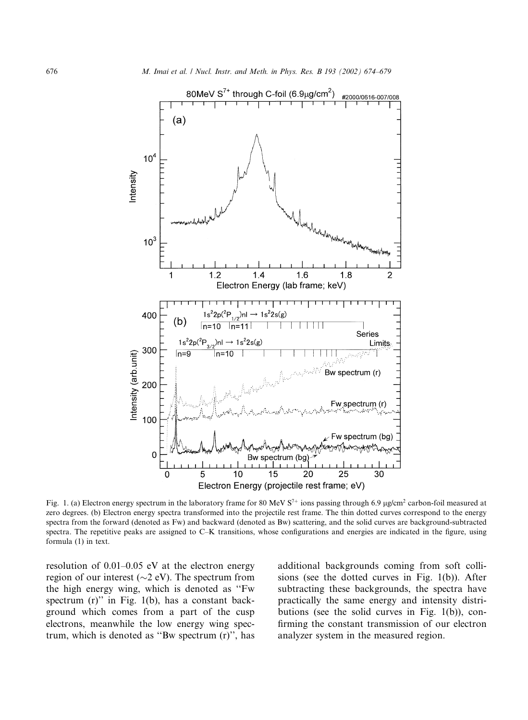

Fig. 1. (a) Electron energy spectrum in the laboratory frame for 80 MeV  $S<sup>7+</sup>$  ions passing through 6.9 µg/cm<sup>2</sup> carbon-foil measured at zero degrees. (b) Electron energy spectra transformed into the projectile rest frame. The thin dotted curves correspond to the energy spectra from the forward (denoted as Fw) and backward (denoted as Bw) scattering, and the solid curves are background-subtracted spectra. The repetitive peaks are assigned to C–K transitions, whose configurations and energies are indicated in the figure, using formula (1) in text.

resolution of 0.01–0.05 eV at the electron energy region of our interest ( $\sim$ 2 eV). The spectrum from the high energy wing, which is denoted as ''Fw spectrum (r)" in Fig. 1(b), has a constant background which comes from a part of the cusp electrons, meanwhile the low energy wing spectrum, which is denoted as ''Bw spectrum (r)'', has additional backgrounds coming from soft collisions (see the dotted curves in Fig. 1(b)). After subtracting these backgrounds, the spectra have practically the same energy and intensity distributions (see the solid curves in Fig. 1(b)), confirming the constant transmission of our electron analyzer system in the measured region.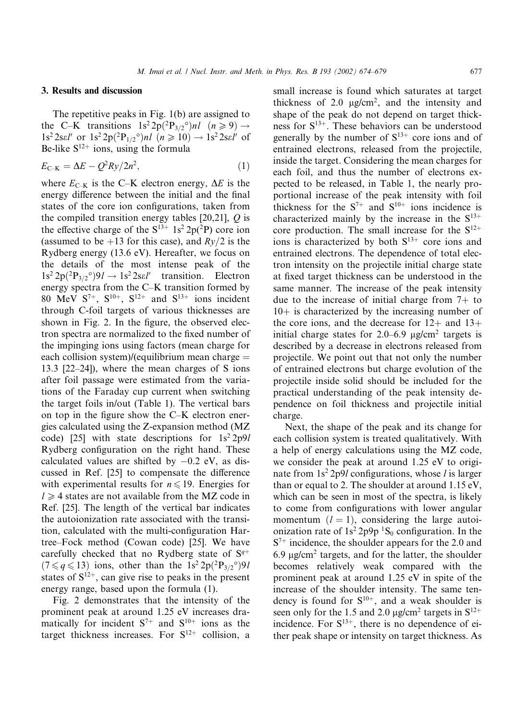### 3. Results and discussion

The repetitive peaks in Fig. 1(b) are assigned to the C–K transitions  $1s^2 2p(^2P_{3/2}^{\circ})nl$   $(n \ge 9) \rightarrow$  $1s^2 2se l'$  or  $1s^2 2p({^2P_{1/2}}^{\circ})nl$   $(n \ge 10) \rightarrow 1s^2 2se l'$  of Be-like  $S^{12+}$  ions, using the formula

$$
E_{\text{C-K}} = \Delta E - Q^2 R y / 2n^2, \qquad (1)
$$

where  $E_{\text{C–K}}$  is the C–K electron energy,  $\Delta E$  is the energy difference between the initial and the final states of the core ion configurations, taken from the compiled transition energy tables  $[20,21]$ ,  $Q$  is the effective charge of the  $S^{13+} 1s^2 2p(^2P)$  core ion (assumed to be +13 for this case), and  $Rv/2$  is the Rydberg energy (13.6 eV). Hereafter, we focus on the details of the most intense peak of the  $1s^2 2p(^2P_{3/2}^{\circ})9l \rightarrow 1s^2 2sel'$  transition. Electron energy spectra from the C–K transition formed by 80 MeV  $S^{7+}$ ,  $S^{10+}$ ,  $S^{12+}$  and  $S^{13+}$  ions incident through C-foil targets of various thicknesses are shown in Fig. 2. In the figure, the observed electron spectra are normalized to the fixed number of the impinging ions using factors (mean charge for each collision system)/(equilibrium mean charge  $=$ 13:3 [22–24]), where the mean charges of S ions after foil passage were estimated from the variations of the Faraday cup current when switching the target foils in/out (Table 1). The vertical bars on top in the figure show the C–K electron energies calculated using the Z-expansion method (MZ code) [25] with state descriptions for  $1s^2 2p9l$ Rydberg configuration on the right hand. These calculated values are shifted by  $-0.2$  eV, as discussed in Ref. [25] to compensate the difference with experimental results for  $n \leq 19$ . Energies for  $l \geq 4$  states are not available from the MZ code in Ref. [25]. The length of the vertical bar indicates the autoionization rate associated with the transition, calculated with the multi-configuration Hartree–Fock method (Cowan code) [25]. We have carefully checked that no Rydberg state of  $S^{q+}$  $(7 \leq q \leq 13)$  ions, other than the  $1s^2 2p(^2P_{3/2}^{\circ})9l$ states of  $S^{12+}$ , can give rise to peaks in the present energy range, based upon the formula (1).

Fig. 2 demonstrates that the intensity of the prominent peak at around 1.25 eV increases dramatically for incident  $S^{7+}$  and  $S^{10+}$  ions as the target thickness increases. For  $S^{12+}$  collision, a

small increase is found which saturates at target thickness of 2.0  $\mu$ g/cm<sup>2</sup>, and the intensity and shape of the peak do not depend on target thickness for  $S^{13+}$ . These behaviors can be understood generally by the number of  $S^{13+}$  core ions and of entrained electrons, released from the projectile, inside the target. Considering the mean charges for each foil, and thus the number of electrons expected to be released, in Table 1, the nearly proportional increase of the peak intensity with foil thickness for the  $S^{7+}$  and  $S^{10+}$  ions incidence is characterized mainly by the increase in the  $S^{13+}$ core production. The small increase for the  $S^{12+}$ ions is characterized by both  $S^{13+}$  core ions and entrained electrons. The dependence of total electron intensity on the projectile initial charge state at fixed target thickness can be understood in the same manner. The increase of the peak intensity due to the increase of initial charge from  $7+$  to  $10<sub>+</sub>$  is characterized by the increasing number of the core ions, and the decrease for  $12+$  and  $13+$ initial charge states for  $2.0-6.9$   $\mu$ g/cm<sup>2</sup> targets is described by a decrease in electrons released from projectile. We point out that not only the number of entrained electrons but charge evolution of the projectile inside solid should be included for the practical understanding of the peak intensity dependence on foil thickness and projectile initial charge.

Next, the shape of the peak and its change for each collision system is treated qualitatively. With a help of energy calculations using the MZ code, we consider the peak at around 1.25 eV to originate from  $1s^2 2p9l$  configurations, whose l is larger than or equal to 2. The shoulder at around 1.15 eV, which can be seen in most of the spectra, is likely to come from configurations with lower angular momentum  $(l = 1)$ , considering the large autoionization rate of  $1s^2 2p9p \,^1S_0$  configuration. In the  $S^{7+}$  incidence, the shoulder appears for the 2.0 and 6.9  $\mu$ g/cm<sup>2</sup> targets, and for the latter, the shoulder becomes relatively weak compared with the prominent peak at around 1.25 eV in spite of the increase of the shoulder intensity. The same tendency is found for  $S^{10+}$ , and a weak shoulder is seen only for the 1.5 and 2.0  $\mu$ g/cm<sup>2</sup> targets in S<sup>12+</sup> incidence. For  $S^{13+}$ , there is no dependence of either peak shape or intensity on target thickness. As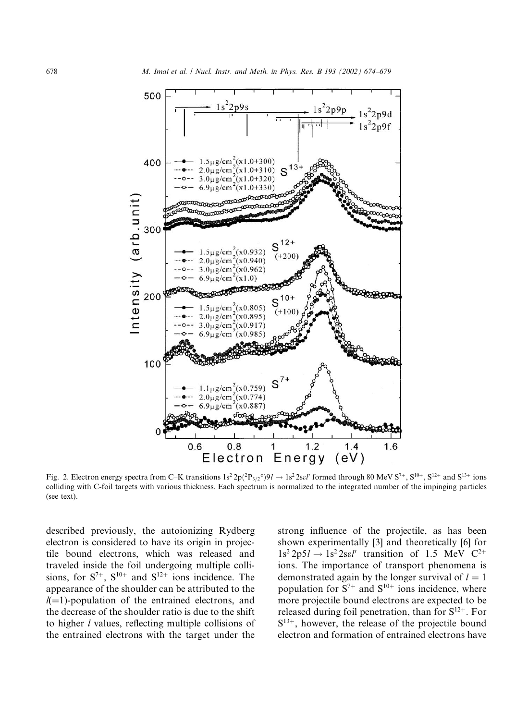

Fig. 2. Electron energy spectra from C–K transitions  $1s^2 2p(^2P_{3/2}^{\circ})9l \rightarrow 1s^2 2sel'$  formed through 80 MeV  $S^{7+}$ ,  $S^{10+}$ ,  $S^{12+}$  and  $S^{13+}$  ions colliding with C-foil targets with various thickness. Each spectrum is normalized to the integrated number of the impinging particles (see text).

described previously, the autoionizing Rydberg electron is considered to have its origin in projectile bound electrons, which was released and traveled inside the foil undergoing multiple collisions, for  $S^{7+}$ ,  $S^{10+}$  and  $S^{12+}$  ions incidence. The appearance of the shoulder can be attributed to the  $l(=1)$ -population of the entrained electrons, and the decrease of the shoulder ratio is due to the shift to higher l values, reflecting multiple collisions of the entrained electrons with the target under the strong influence of the projectile, as has been shown experimentally [3] and theoretically [6] for  $1s^2 2p5l \rightarrow 1s^2 2sel'$  transition of 1.5 MeV  $C^{2+}$ ions. The importance of transport phenomena is demonstrated again by the longer survival of  $l = 1$ population for  $S^{7+}$  and  $S^{10+}$  ions incidence, where more projectile bound electrons are expected to be released during foil penetration, than for  $S^{12+}$ . For  $S^{13+}$ , however, the release of the projectile bound electron and formation of entrained electrons have